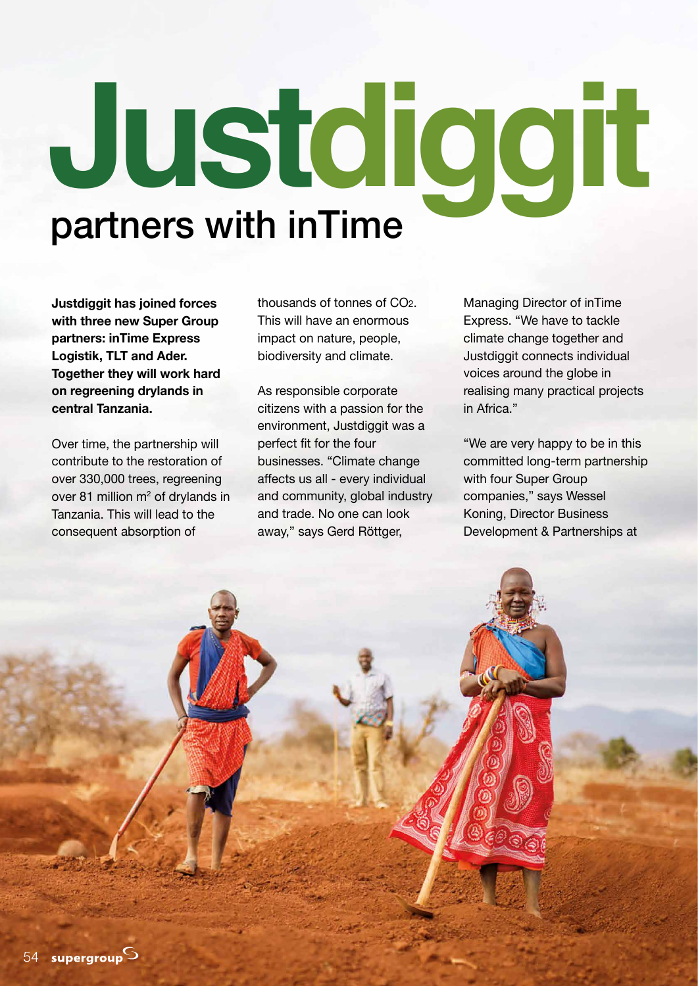## partners with inTime **Justdiggit**

**Justdiggit has joined forces with three new Super Group partners: inTime Express Logistik, TLT and Ader. Together they will work hard on regreening drylands in central Tanzania.**

Over time, the partnership will contribute to the restoration of over 330,000 trees, regreening over 81 million m<sup>2</sup> of drylands in Tanzania. This will lead to the consequent absorption of

thousands of tonnes of CO2. This will have an enormous impact on nature, people, biodiversity and climate.

As responsible corporate citizens with a passion for the environment, Justdiggit was a perfect fit for the four businesses. "Climate change affects us all - every individual and community, global industry and trade. No one can look away," says Gerd Röttger,

Managing Director of inTime Express. "We have to tackle climate change together and Justdiggit connects individual voices around the globe in realising many practical projects in Africa."

"We are very happy to be in this committed long-term partnership with four Super Group companies," says Wessel Koning, Director Business Development & Partnerships at